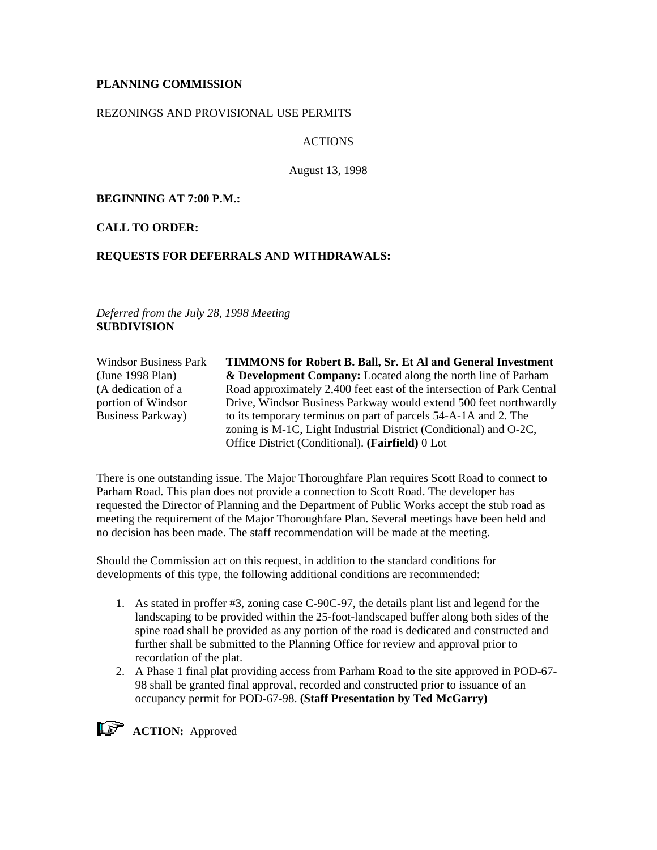## **PLANNING COMMISSION**

### REZONINGS AND PROVISIONAL USE PERMITS

## ACTIONS

August 13, 1998

### **BEGINNING AT 7:00 P.M.:**

**CALL TO ORDER:**

## **REQUESTS FOR DEFERRALS AND WITHDRAWALS:**

*Deferred from the July 28, 1998 Meeting* **SUBDIVISION**

| <b>Windsor Business Park</b> | <b>TIMMONS for Robert B. Ball, Sr. Et Al and General Investment</b>    |
|------------------------------|------------------------------------------------------------------------|
| (June 1998 Plan)             | & Development Company: Located along the north line of Parham          |
| (A dedication of a           | Road approximately 2,400 feet east of the intersection of Park Central |
| portion of Windsor           | Drive, Windsor Business Parkway would extend 500 feet northwardly      |
| Business Parkway)            | to its temporary terminus on part of parcels 54-A-1A and 2. The        |
|                              | zoning is M-1C, Light Industrial District (Conditional) and O-2C,      |
|                              | Office District (Conditional). (Fairfield) 0 Lot                       |

There is one outstanding issue. The Major Thoroughfare Plan requires Scott Road to connect to Parham Road. This plan does not provide a connection to Scott Road. The developer has requested the Director of Planning and the Department of Public Works accept the stub road as meeting the requirement of the Major Thoroughfare Plan. Several meetings have been held and no decision has been made. The staff recommendation will be made at the meeting.

Should the Commission act on this request, in addition to the standard conditions for developments of this type, the following additional conditions are recommended:

- 1. As stated in proffer #3, zoning case C-90C-97, the details plant list and legend for the landscaping to be provided within the 25-foot-landscaped buffer along both sides of the spine road shall be provided as any portion of the road is dedicated and constructed and further shall be submitted to the Planning Office for review and approval prior to recordation of the plat.
- 2. A Phase 1 final plat providing access from Parham Road to the site approved in POD-67- 98 shall be granted final approval, recorded and constructed prior to issuance of an occupancy permit for POD-67-98. **(Staff Presentation by Ted McGarry)**



**ACTION:** Approved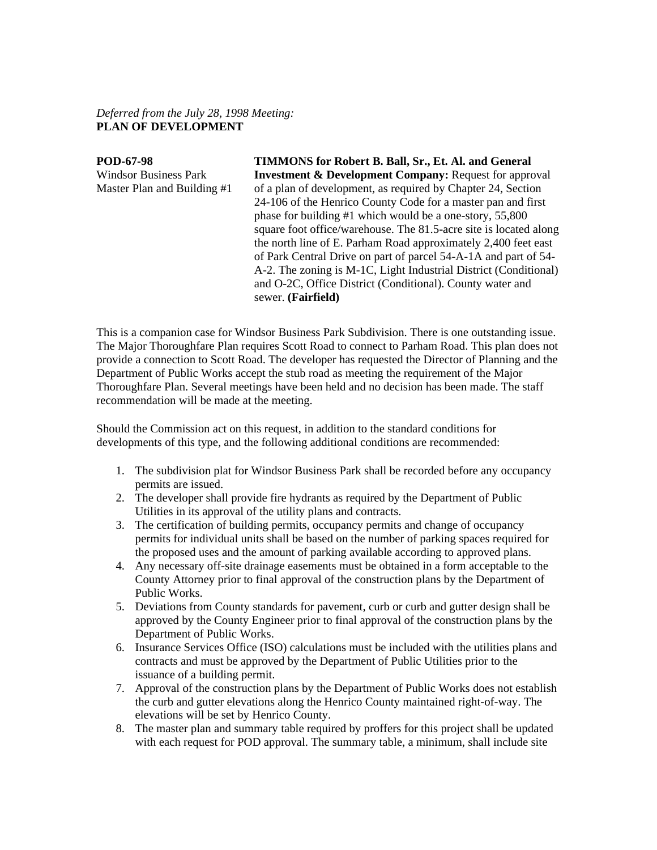### *Deferred from the July 28, 1998 Meeting:* **PLAN OF DEVELOPMENT**

**POD-67-98** Windsor Business Park Master Plan and Building #1 **TIMMONS for Robert B. Ball, Sr., Et. Al. and General Investment & Development Company:** Request for approval of a plan of development, as required by Chapter 24, Section 24-106 of the Henrico County Code for a master pan and first phase for building #1 which would be a one-story, 55,800 square foot office/warehouse. The 81.5-acre site is located along the north line of E. Parham Road approximately 2,400 feet east of Park Central Drive on part of parcel 54-A-1A and part of 54- A-2. The zoning is M-1C, Light Industrial District (Conditional) and O-2C, Office District (Conditional). County water and sewer. **(Fairfield)**

This is a companion case for Windsor Business Park Subdivision. There is one outstanding issue. The Major Thoroughfare Plan requires Scott Road to connect to Parham Road. This plan does not provide a connection to Scott Road. The developer has requested the Director of Planning and the Department of Public Works accept the stub road as meeting the requirement of the Major Thoroughfare Plan. Several meetings have been held and no decision has been made. The staff recommendation will be made at the meeting.

Should the Commission act on this request, in addition to the standard conditions for developments of this type, and the following additional conditions are recommended:

- 1. The subdivision plat for Windsor Business Park shall be recorded before any occupancy permits are issued.
- 2. The developer shall provide fire hydrants as required by the Department of Public Utilities in its approval of the utility plans and contracts.
- 3. The certification of building permits, occupancy permits and change of occupancy permits for individual units shall be based on the number of parking spaces required for the proposed uses and the amount of parking available according to approved plans.
- 4. Any necessary off-site drainage easements must be obtained in a form acceptable to the County Attorney prior to final approval of the construction plans by the Department of Public Works.
- 5. Deviations from County standards for pavement, curb or curb and gutter design shall be approved by the County Engineer prior to final approval of the construction plans by the Department of Public Works.
- 6. Insurance Services Office (ISO) calculations must be included with the utilities plans and contracts and must be approved by the Department of Public Utilities prior to the issuance of a building permit.
- 7. Approval of the construction plans by the Department of Public Works does not establish the curb and gutter elevations along the Henrico County maintained right-of-way. The elevations will be set by Henrico County.
- 8. The master plan and summary table required by proffers for this project shall be updated with each request for POD approval. The summary table, a minimum, shall include site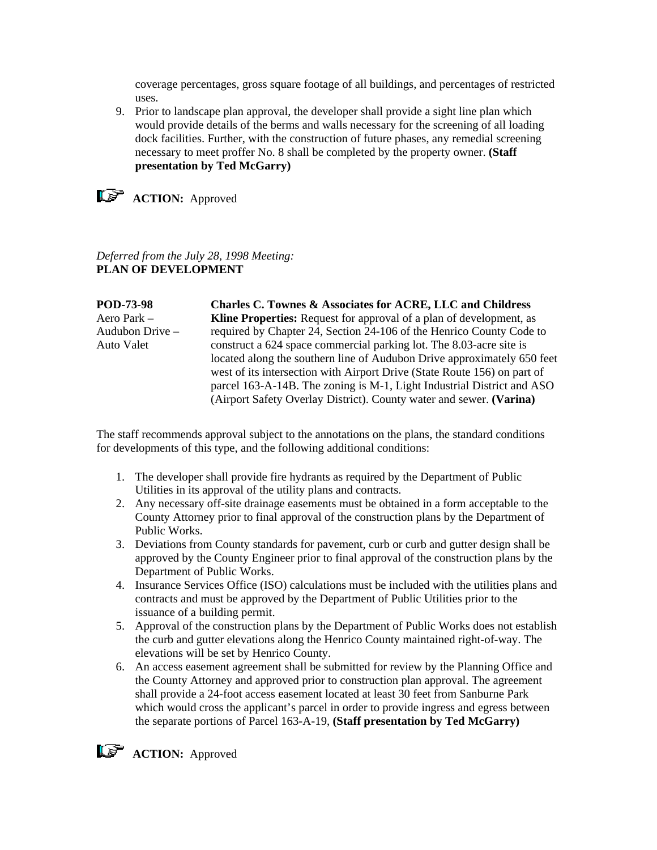coverage percentages, gross square footage of all buildings, and percentages of restricted uses.

9. Prior to landscape plan approval, the developer shall provide a sight line plan which would provide details of the berms and walls necessary for the screening of all loading dock facilities. Further, with the construction of future phases, any remedial screening necessary to meet proffer No. 8 shall be completed by the property owner. **(Staff presentation by Ted McGarry)**

**ACTION:** Approved

*Deferred from the July 28, 1998 Meeting:* **PLAN OF DEVELOPMENT** 

| POD-73-98       | Charles C. Townes & Associates for ACRE, LLC and Childress                 |
|-----------------|----------------------------------------------------------------------------|
| Aero Park –     | <b>Kline Properties:</b> Request for approval of a plan of development, as |
| Audubon Drive – | required by Chapter 24, Section 24-106 of the Henrico County Code to       |
| Auto Valet      | construct a 624 space commercial parking lot. The 8.03-acre site is        |
|                 | located along the southern line of Audubon Drive approximately 650 feet    |
|                 | west of its intersection with Airport Drive (State Route 156) on part of   |
|                 | parcel 163-A-14B. The zoning is M-1, Light Industrial District and ASO     |
|                 | (Airport Safety Overlay District). County water and sewer. (Varina)        |

The staff recommends approval subject to the annotations on the plans, the standard conditions for developments of this type, and the following additional conditions:

- 1. The developer shall provide fire hydrants as required by the Department of Public Utilities in its approval of the utility plans and contracts.
- 2. Any necessary off-site drainage easements must be obtained in a form acceptable to the County Attorney prior to final approval of the construction plans by the Department of Public Works.
- 3. Deviations from County standards for pavement, curb or curb and gutter design shall be approved by the County Engineer prior to final approval of the construction plans by the Department of Public Works.
- 4. Insurance Services Office (ISO) calculations must be included with the utilities plans and contracts and must be approved by the Department of Public Utilities prior to the issuance of a building permit.
- 5. Approval of the construction plans by the Department of Public Works does not establish the curb and gutter elevations along the Henrico County maintained right-of-way. The elevations will be set by Henrico County.
- 6. An access easement agreement shall be submitted for review by the Planning Office and the County Attorney and approved prior to construction plan approval. The agreement shall provide a 24-foot access easement located at least 30 feet from Sanburne Park which would cross the applicant's parcel in order to provide ingress and egress between the separate portions of Parcel 163-A-19, **(Staff presentation by Ted McGarry)**



**ACTION:** Approved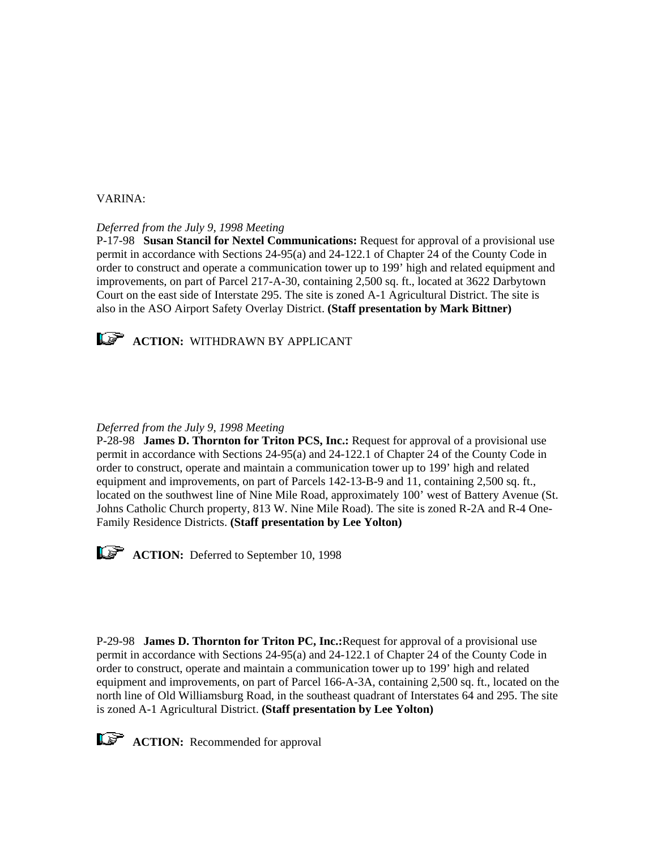## VARINA:

### *Deferred from the July 9, 1998 Meeting*

P-17-98 **Susan Stancil for Nextel Communications:** Request for approval of a provisional use permit in accordance with Sections 24-95(a) and 24-122.1 of Chapter 24 of the County Code in order to construct and operate a communication tower up to 199' high and related equipment and improvements, on part of Parcel 217-A-30, containing 2,500 sq. ft., located at 3622 Darbytown Court on the east side of Interstate 295. The site is zoned A-1 Agricultural District. The site is also in the ASO Airport Safety Overlay District. **(Staff presentation by Mark Bittner)**



**ACTION:** WITHDRAWN BY APPLICANT

### *Deferred from the July 9, 1998 Meeting*

P-28-98 **James D. Thornton for Triton PCS, Inc.:** Request for approval of a provisional use permit in accordance with Sections 24-95(a) and 24-122.1 of Chapter 24 of the County Code in order to construct, operate and maintain a communication tower up to 199' high and related equipment and improvements, on part of Parcels 142-13-B-9 and 11, containing 2,500 sq. ft., located on the southwest line of Nine Mile Road, approximately 100' west of Battery Avenue (St. Johns Catholic Church property, 813 W. Nine Mile Road). The site is zoned R-2A and R-4 One-Family Residence Districts. **(Staff presentation by Lee Yolton)**



**ACTION:** Deferred to September 10, 1998

P-29-98 **James D. Thornton for Triton PC, Inc.:**Request for approval of a provisional use permit in accordance with Sections 24-95(a) and 24-122.1 of Chapter 24 of the County Code in order to construct, operate and maintain a communication tower up to 199' high and related equipment and improvements, on part of Parcel 166-A-3A, containing 2,500 sq. ft., located on the north line of Old Williamsburg Road, in the southeast quadrant of Interstates 64 and 295. The site is zoned A-1 Agricultural District. **(Staff presentation by Lee Yolton)**

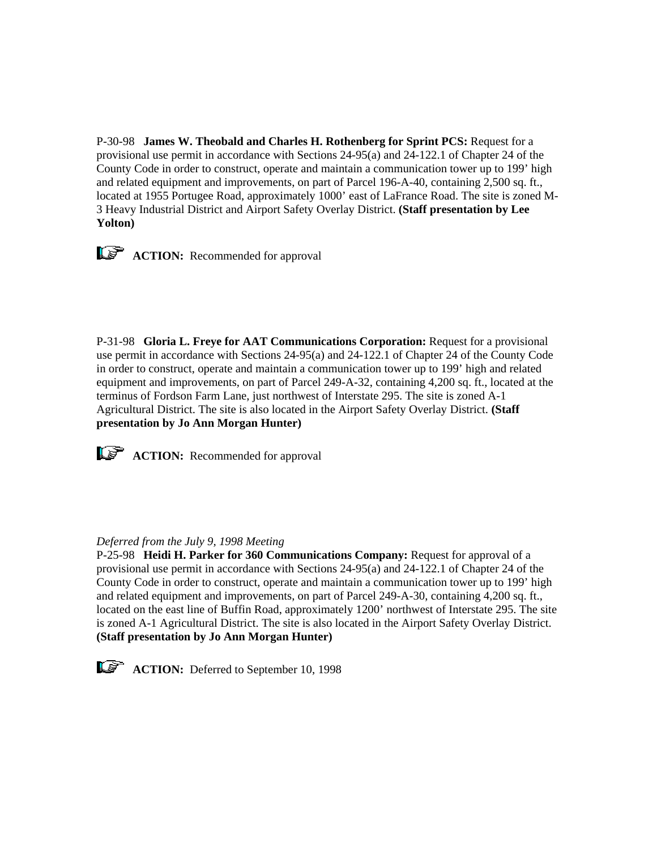P-30-98 **James W. Theobald and Charles H. Rothenberg for Sprint PCS:** Request for a provisional use permit in accordance with Sections 24-95(a) and 24-122.1 of Chapter 24 of the County Code in order to construct, operate and maintain a communication tower up to 199' high and related equipment and improvements, on part of Parcel 196-A-40, containing 2,500 sq. ft., located at 1955 Portugee Road, approximately 1000' east of LaFrance Road. The site is zoned M-3 Heavy Industrial District and Airport Safety Overlay District. **(Staff presentation by Lee Yolton)** 

**ACTION:** Recommended for approval

P-31-98 **Gloria L. Freye for AAT Communications Corporation:** Request for a provisional use permit in accordance with Sections 24-95(a) and 24-122.1 of Chapter 24 of the County Code in order to construct, operate and maintain a communication tower up to 199' high and related equipment and improvements, on part of Parcel 249-A-32, containing 4,200 sq. ft., located at the terminus of Fordson Farm Lane, just northwest of Interstate 295. The site is zoned A-1 Agricultural District. The site is also located in the Airport Safety Overlay District. **(Staff presentation by Jo Ann Morgan Hunter)**



**ACTION:** Recommended for approval

## *Deferred from the July 9, 1998 Meeting*

P-25-98 **Heidi H. Parker for 360 Communications Company:** Request for approval of a provisional use permit in accordance with Sections 24-95(a) and 24-122.1 of Chapter 24 of the County Code in order to construct, operate and maintain a communication tower up to 199' high and related equipment and improvements, on part of Parcel 249-A-30, containing 4,200 sq. ft., located on the east line of Buffin Road, approximately 1200' northwest of Interstate 295. The site is zoned A-1 Agricultural District. The site is also located in the Airport Safety Overlay District. **(Staff presentation by Jo Ann Morgan Hunter)**



**ACTION:** Deferred to September 10, 1998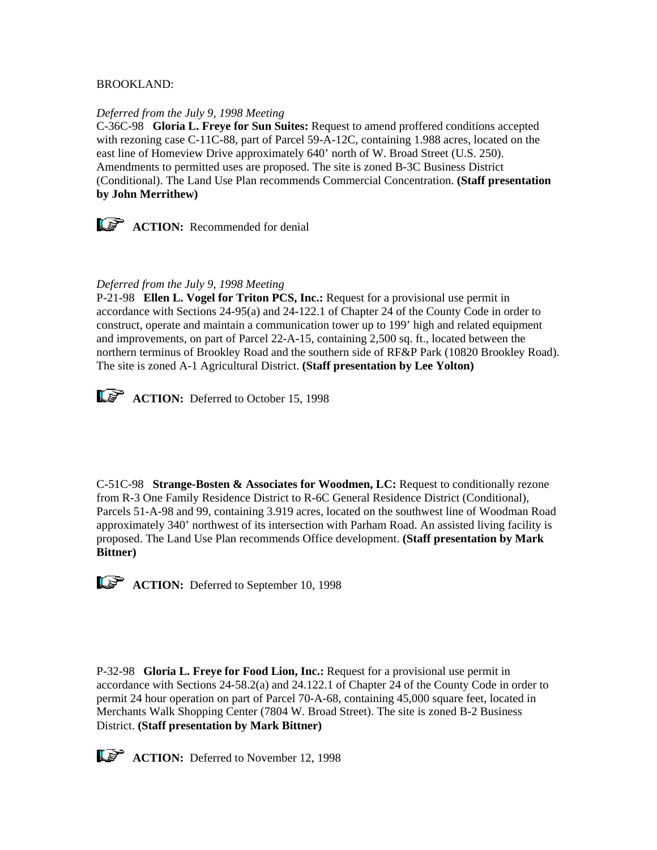### BROOKLAND:

### *Deferred from the July 9, 1998 Meeting*

C-36C-98 **Gloria L. Freye for Sun Suites:** Request to amend proffered conditions accepted with rezoning case C-11C-88, part of Parcel 59-A-12C, containing 1.988 acres, located on the east line of Homeview Drive approximately 640' north of W. Broad Street (U.S. 250). Amendments to permitted uses are proposed. The site is zoned B-3C Business District (Conditional). The Land Use Plan recommends Commercial Concentration. **(Staff presentation by John Merrithew)**



# *Deferred from the July 9, 1998 Meeting*

P-21-98 **Ellen L. Vogel for Triton PCS, Inc.:** Request for a provisional use permit in accordance with Sections 24-95(a) and 24-122.1 of Chapter 24 of the County Code in order to construct, operate and maintain a communication tower up to 199' high and related equipment and improvements, on part of Parcel 22-A-15, containing 2,500 sq. ft., located between the northern terminus of Brookley Road and the southern side of RF&P Park (10820 Brookley Road). The site is zoned A-1 Agricultural District. **(Staff presentation by Lee Yolton)**



C-51C-98 **Strange-Bosten & Associates for Woodmen, LC:** Request to conditionally rezone from R-3 One Family Residence District to R-6C General Residence District (Conditional), Parcels 51-A-98 and 99, containing 3.919 acres, located on the southwest line of Woodman Road approximately 340' northwest of its intersection with Parham Road. An assisted living facility is proposed. The Land Use Plan recommends Office development. **(Staff presentation by Mark Bittner)**

**ACTION:** Deferred to September 10, 1998

P-32-98 **Gloria L. Freye for Food Lion, Inc.:** Request for a provisional use permit in accordance with Sections 24-58.2(a) and 24.122.1 of Chapter 24 of the County Code in order to permit 24 hour operation on part of Parcel 70-A-68, containing 45,000 square feet, located in Merchants Walk Shopping Center (7804 W. Broad Street). The site is zoned B-2 Business District. **(Staff presentation by Mark Bittner)**

**ACTION:** Deferred to November 12, 1998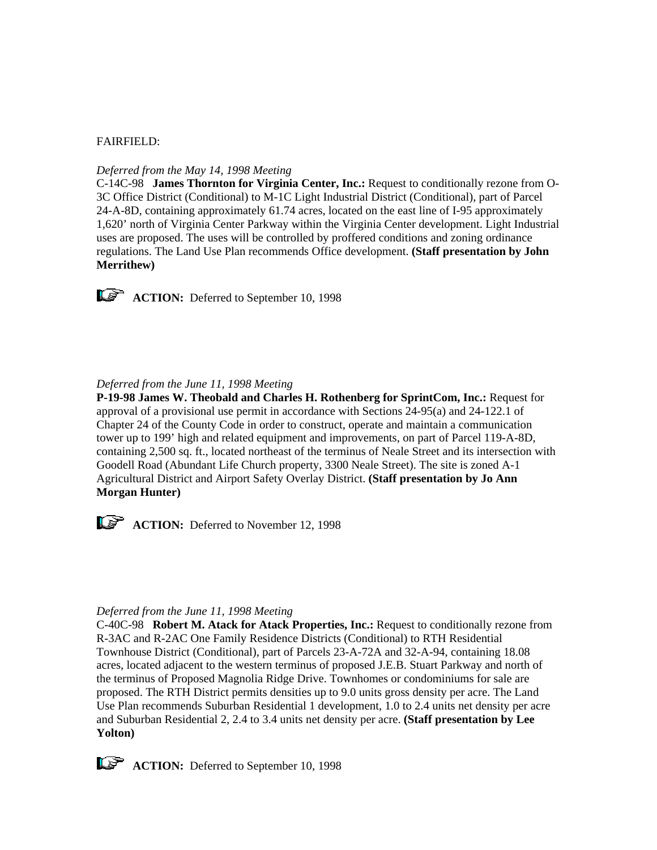## FAIRFIELD:

### *Deferred from the May 14, 1998 Meeting*

C-14C-98 **James Thornton for Virginia Center, Inc.:** Request to conditionally rezone from O-3C Office District (Conditional) to M-1C Light Industrial District (Conditional), part of Parcel 24-A-8D, containing approximately 61.74 acres, located on the east line of I-95 approximately 1,620' north of Virginia Center Parkway within the Virginia Center development. Light Industrial uses are proposed. The uses will be controlled by proffered conditions and zoning ordinance regulations. The Land Use Plan recommends Office development. **(Staff presentation by John Merrithew)**



**ACTION:** Deferred to September 10, 1998

## *Deferred from the June 11, 1998 Meeting*

**P-19-98 James W. Theobald and Charles H. Rothenberg for SprintCom, Inc.:** Request for approval of a provisional use permit in accordance with Sections 24-95(a) and 24-122.1 of Chapter 24 of the County Code in order to construct, operate and maintain a communication tower up to 199' high and related equipment and improvements, on part of Parcel 119-A-8D, containing 2,500 sq. ft., located northeast of the terminus of Neale Street and its intersection with Goodell Road (Abundant Life Church property, 3300 Neale Street). The site is zoned A-1 Agricultural District and Airport Safety Overlay District. **(Staff presentation by Jo Ann Morgan Hunter)**



**ACTION:** Deferred to November 12, 1998

## *Deferred from the June 11, 1998 Meeting*

C-40C-98 **Robert M. Atack for Atack Properties, Inc.:** Request to conditionally rezone from R-3AC and R-2AC One Family Residence Districts (Conditional) to RTH Residential Townhouse District (Conditional), part of Parcels 23-A-72A and 32-A-94, containing 18.08 acres, located adjacent to the western terminus of proposed J.E.B. Stuart Parkway and north of the terminus of Proposed Magnolia Ridge Drive. Townhomes or condominiums for sale are proposed. The RTH District permits densities up to 9.0 units gross density per acre. The Land Use Plan recommends Suburban Residential 1 development, 1.0 to 2.4 units net density per acre and Suburban Residential 2, 2.4 to 3.4 units net density per acre. **(Staff presentation by Lee Yolton)**



**ACTION:** Deferred to September 10, 1998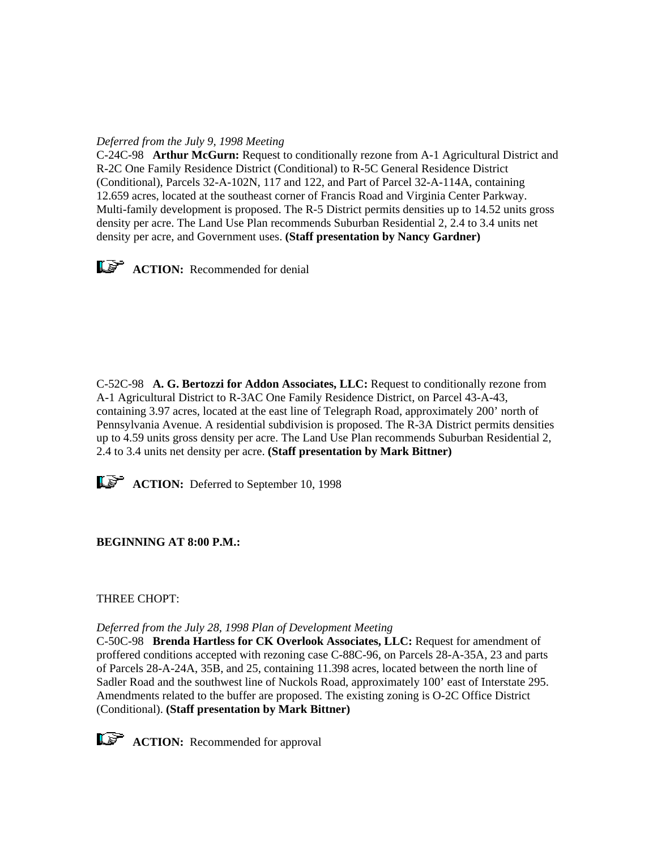## *Deferred from the July 9, 1998 Meeting*

C-24C-98 **Arthur McGurn:** Request to conditionally rezone from A-1 Agricultural District and R-2C One Family Residence District (Conditional) to R-5C General Residence District (Conditional), Parcels 32-A-102N, 117 and 122, and Part of Parcel 32-A-114A, containing 12.659 acres, located at the southeast corner of Francis Road and Virginia Center Parkway. Multi-family development is proposed. The R-5 District permits densities up to 14.52 units gross density per acre. The Land Use Plan recommends Suburban Residential 2, 2.4 to 3.4 units net density per acre, and Government uses. **(Staff presentation by Nancy Gardner)**



C-52C-98 **A. G. Bertozzi for Addon Associates, LLC:** Request to conditionally rezone from A-1 Agricultural District to R-3AC One Family Residence District, on Parcel 43-A-43, containing 3.97 acres, located at the east line of Telegraph Road, approximately 200' north of Pennsylvania Avenue. A residential subdivision is proposed. The R-3A District permits densities up to 4.59 units gross density per acre. The Land Use Plan recommends Suburban Residential 2, 2.4 to 3.4 units net density per acre. **(Staff presentation by Mark Bittner)**

**ACTION:** Deferred to September 10, 1998

#### **BEGINNING AT 8:00 P.M.:**

THREE CHOPT:

*Deferred from the July 28, 1998 Plan of Development Meeting*

C-50C-98 **Brenda Hartless for CK Overlook Associates, LLC:** Request for amendment of proffered conditions accepted with rezoning case C-88C-96, on Parcels 28-A-35A, 23 and parts of Parcels 28-A-24A, 35B, and 25, containing 11.398 acres, located between the north line of Sadler Road and the southwest line of Nuckols Road, approximately 100' east of Interstate 295. Amendments related to the buffer are proposed. The existing zoning is O-2C Office District (Conditional). **(Staff presentation by Mark Bittner)**

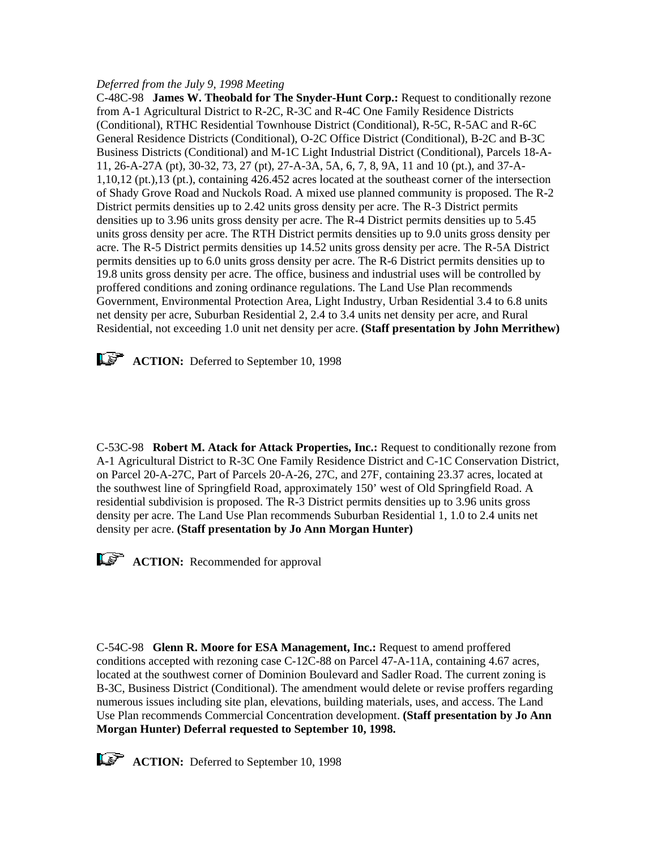## *Deferred from the July 9, 1998 Meeting*

C-48C-98 **James W. Theobald for The Snyder-Hunt Corp.:** Request to conditionally rezone from A-1 Agricultural District to R-2C, R-3C and R-4C One Family Residence Districts (Conditional), RTHC Residential Townhouse District (Conditional), R-5C, R-5AC and R-6C General Residence Districts (Conditional), O-2C Office District (Conditional), B-2C and B-3C Business Districts (Conditional) and M-1C Light Industrial District (Conditional), Parcels 18-A-11, 26-A-27A (pt), 30-32, 73, 27 (pt), 27-A-3A, 5A, 6, 7, 8, 9A, 11 and 10 (pt.), and 37-A-1,10,12 (pt.),13 (pt.), containing 426.452 acres located at the southeast corner of the intersection of Shady Grove Road and Nuckols Road. A mixed use planned community is proposed. The R-2 District permits densities up to 2.42 units gross density per acre. The R-3 District permits densities up to 3.96 units gross density per acre. The R-4 District permits densities up to 5.45 units gross density per acre. The RTH District permits densities up to 9.0 units gross density per acre. The R-5 District permits densities up 14.52 units gross density per acre. The R-5A District permits densities up to 6.0 units gross density per acre. The R-6 District permits densities up to 19.8 units gross density per acre. The office, business and industrial uses will be controlled by proffered conditions and zoning ordinance regulations. The Land Use Plan recommends Government, Environmental Protection Area, Light Industry, Urban Residential 3.4 to 6.8 units net density per acre, Suburban Residential 2, 2.4 to 3.4 units net density per acre, and Rural Residential, not exceeding 1.0 unit net density per acre. **(Staff presentation by John Merrithew)**

**ACTION:** Deferred to September 10, 1998

C-53C-98 **Robert M. Atack for Attack Properties, Inc.:** Request to conditionally rezone from A-1 Agricultural District to R-3C One Family Residence District and C-1C Conservation District, on Parcel 20-A-27C, Part of Parcels 20-A-26, 27C, and 27F, containing 23.37 acres, located at the southwest line of Springfield Road, approximately 150' west of Old Springfield Road. A residential subdivision is proposed. The R-3 District permits densities up to 3.96 units gross density per acre. The Land Use Plan recommends Suburban Residential 1, 1.0 to 2.4 units net density per acre. **(Staff presentation by Jo Ann Morgan Hunter)**



**ACTION:** Recommended for approval

C-54C-98 **Glenn R. Moore for ESA Management, Inc.:** Request to amend proffered conditions accepted with rezoning case C-12C-88 on Parcel 47-A-11A, containing 4.67 acres, located at the southwest corner of Dominion Boulevard and Sadler Road. The current zoning is B-3C, Business District (Conditional). The amendment would delete or revise proffers regarding numerous issues including site plan, elevations, building materials, uses, and access. The Land Use Plan recommends Commercial Concentration development. **(Staff presentation by Jo Ann Morgan Hunter) Deferral requested to September 10, 1998.**

**ACTION:** Deferred to September 10, 1998